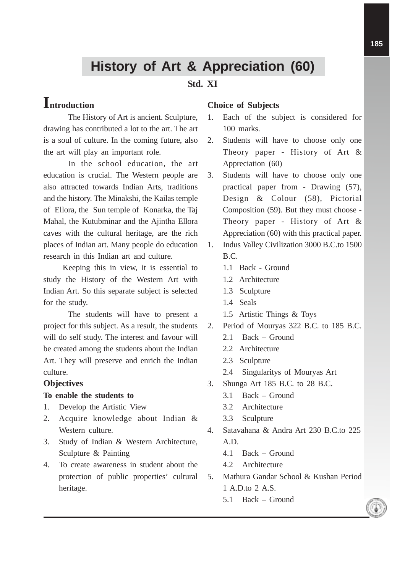# **History of Art & Appreciation (60)**

# **Std. XI**

# **Introduction**

The History of Art is ancient. Sculpture, drawing has contributed a lot to the art. The art is a soul of culture. In the coming future, also the art will play an important role.

In the school education, the art education is crucial. The Western people are also attracted towards Indian Arts, traditions and the history. The Minakshi, the Kailas temple of Ellora, the Sun temple of Konarka, the Taj Mahal, the Kutubminar and the Ajintha Ellora caves with the cultural heritage, are the rich places of Indian art. Many people do education research in this Indian art and culture.

Keeping this in view, it is essential to study the History of the Western Art with Indian Art. So this separate subject is selected for the study.

The students will have to present a project for this subject. As a result, the students will do self study. The interest and favour will be created among the students about the Indian Art. They will preserve and enrich the Indian culture.

# **Objectives**

#### **To enable the students to**

- 1. Develop the Artistic View
- 2. Acquire knowledge about Indian & Western culture.
- 3. Study of Indian & Western Architecture, Sculpture & Painting
- 4. To create awareness in student about the protection of public properties' cultural heritage.

#### **Choice of Subjects**

- 1. Each of the subject is considered for 100 marks.
- 2. Students will have to choose only one Theory paper - History of Art & Appreciation (60)
- 3. Students will have to choose only one practical paper from - Drawing (57), Design & Colour (58), Pictorial Composition (59). But they must choose - Theory paper - History of Art & Appreciation (60) with this practical paper.
- 1. Indus Valley Civilization 3000 B.C.to 1500 B.C.
	- 1.1 Back Ground
	- 1.2 Architecture
	- 1.3 Sculpture
	- 1.4 Seals
	- 1.5 Artistic Things & Toys
- 2. Period of Mouryas 322 B.C. to 185 B.C.
	- 2.1 Back Ground
	- 2.2 Architecture
	- 2.3 Sculpture
	- 2.4 Singularitys of Mouryas Art
- 3. Shunga Art 185 B.C. to 28 B.C.
	- 3.1 Back Ground
	- 3.2 Architecture
	- 3.3 Sculpture
- 4. Satavahana & Andra Art 230 B.C.to 225 A.D.
	- 4.1 Back Ground
	- 4.2 Architecture
- 5. Mathura Gandar School & Kushan Period 1 A.D.to 2 A.S.
	- 5.1 Back Ground

**185**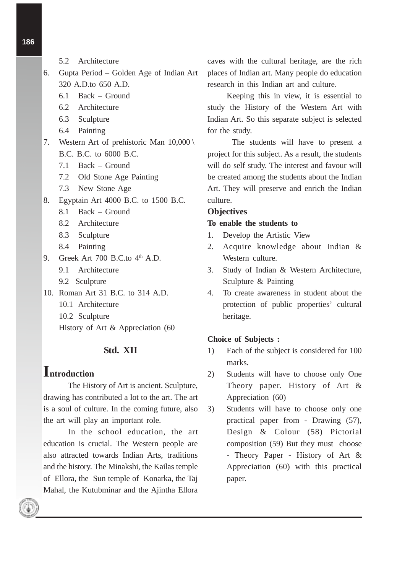- 5.2 Architecture
- 6. Gupta Period Golden Age of Indian Art 320 A.D.to 650 A.D.
	- 6.1 Back Ground
	- 6.2 Architecture
	- 6.3 Sculpture
	- 6.4 Painting
- 7. Western Art of prehistoric Man 10,000 \ B.C. B.C. to 6000 B.C.
	- 7.1 Back Ground
	- 7.2 Old Stone Age Painting
	- 7.3 New Stone Age
- 8. Egyptain Art 4000 B.C. to 1500 B.C.
	- 8.1 Back Ground
	- 8.2 Architecture
	- 8.3 Sculpture
	- 8.4 Painting
- 9. Greek Art  $700$  B.C.to  $4<sup>th</sup>$  A.D.
	- 9.1 Architecture
	- 9.2 Sculpture
- 10. Roman Art 31 B.C. to 314 A.D.
	- 10.1 Architecture
	- 10.2 Sculpture
	- History of Art & Appreciation (60

# **Std. XII**

# **Introduction**

The History of Art is ancient. Sculpture, drawing has contributed a lot to the art. The art is a soul of culture. In the coming future, also the art will play an important role.

In the school education, the art education is crucial. The Western people are also attracted towards Indian Arts, traditions and the history. The Minakshi, the Kailas temple of Ellora, the Sun temple of Konarka, the Taj Mahal, the Kutubminar and the Ajintha Ellora

caves with the cultural heritage, are the rich places of Indian art. Many people do education research in this Indian art and culture.

Keeping this in view, it is essential to study the History of the Western Art with Indian Art. So this separate subject is selected for the study.

The students will have to present a project for this subject. As a result, the students will do self study. The interest and favour will be created among the students about the Indian Art. They will preserve and enrich the Indian culture.

### **Objectives**

#### **To enable the students to**

- 1. Develop the Artistic View
- 2. Acquire knowledge about Indian & Western culture.
- 3. Study of Indian & Western Architecture, Sculpture & Painting
- 4. To create awareness in student about the protection of public properties' cultural heritage.

#### **Choice of Subjects :**

- 1) Each of the subject is considered for 100 marks.
- 2) Students will have to choose only One Theory paper. History of Art & Appreciation (60)
- 3) Students will have to choose only one practical paper from - Drawing (57), Design & Colour (58) Pictorial composition (59) But they must choose - Theory Paper - History of Art & Appreciation (60) with this practical paper.